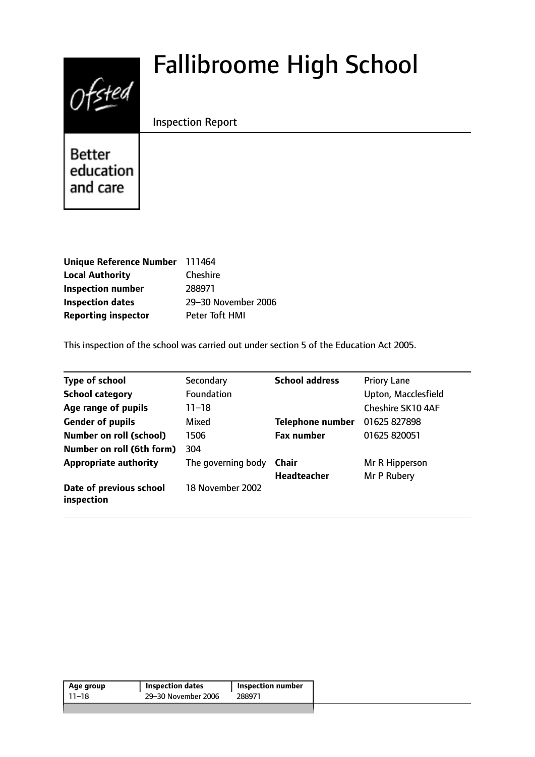# $0$ fsted

# Fallibroome High School

# Inspection Report

Better education and care

| Unique Reference Number 111464 |                     |
|--------------------------------|---------------------|
| <b>Local Authority</b>         | <b>Cheshire</b>     |
| <b>Inspection number</b>       | 288971              |
| <b>Inspection dates</b>        | 29-30 November 2006 |
| <b>Reporting inspector</b>     | Peter Toft HMI      |

This inspection of the school was carried out under section 5 of the Education Act 2005.

| <b>Type of school</b>                 | Secondary          | <b>School address</b>   | <b>Priory Lane</b>  |
|---------------------------------------|--------------------|-------------------------|---------------------|
| <b>School category</b>                | <b>Foundation</b>  |                         | Upton, Macclesfield |
| Age range of pupils                   | 11–18              |                         | Cheshire SK10 4AF   |
| <b>Gender of pupils</b>               | Mixed              | <b>Telephone number</b> | 01625 827898        |
| <b>Number on roll (school)</b>        | 1506               | <b>Fax number</b>       | 01625 820051        |
| Number on roll (6th form)             | 304                |                         |                     |
| <b>Appropriate authority</b>          | The governing body | Chair                   | Mr R Hipperson      |
|                                       |                    | <b>Headteacher</b>      | Mr P Rubery         |
| Date of previous school<br>inspection | 18 November 2002   |                         |                     |

| Age group | <b>Inspection dates</b> | Inspection number |
|-----------|-------------------------|-------------------|
| 11–18     | 29-30 November 2006     | 288971            |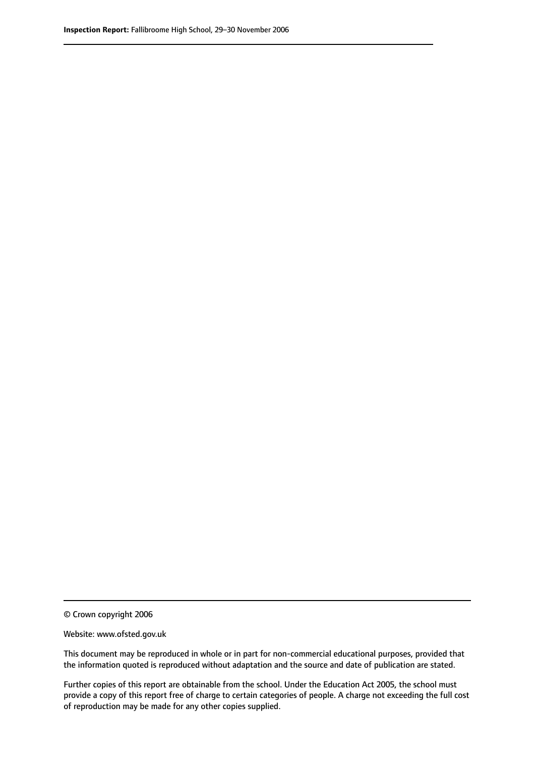© Crown copyright 2006

Website: www.ofsted.gov.uk

This document may be reproduced in whole or in part for non-commercial educational purposes, provided that the information quoted is reproduced without adaptation and the source and date of publication are stated.

Further copies of this report are obtainable from the school. Under the Education Act 2005, the school must provide a copy of this report free of charge to certain categories of people. A charge not exceeding the full cost of reproduction may be made for any other copies supplied.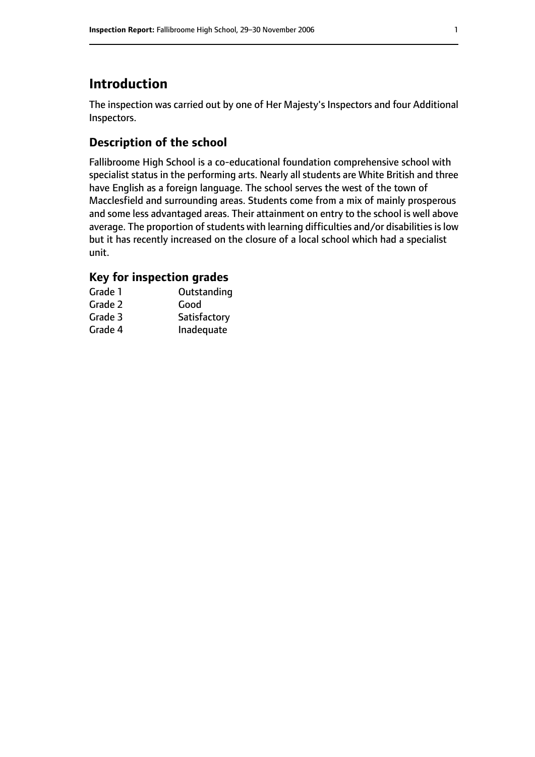# **Introduction**

The inspection was carried out by one of Her Majesty's Inspectors and four Additional Inspectors.

# **Description of the school**

Fallibroome High School is a co-educational foundation comprehensive school with specialist status in the performing arts. Nearly all students are White British and three have English as a foreign language. The school serves the west of the town of Macclesfield and surrounding areas. Students come from a mix of mainly prosperous and some less advantaged areas. Their attainment on entry to the school is well above average. The proportion of students with learning difficulties and/or disabilities is low but it has recently increased on the closure of a local school which had a specialist unit.

# **Key for inspection grades**

| Grade 1 | Outstanding  |
|---------|--------------|
| Grade 2 | Good         |
| Grade 3 | Satisfactory |
| Grade 4 | Inadequate   |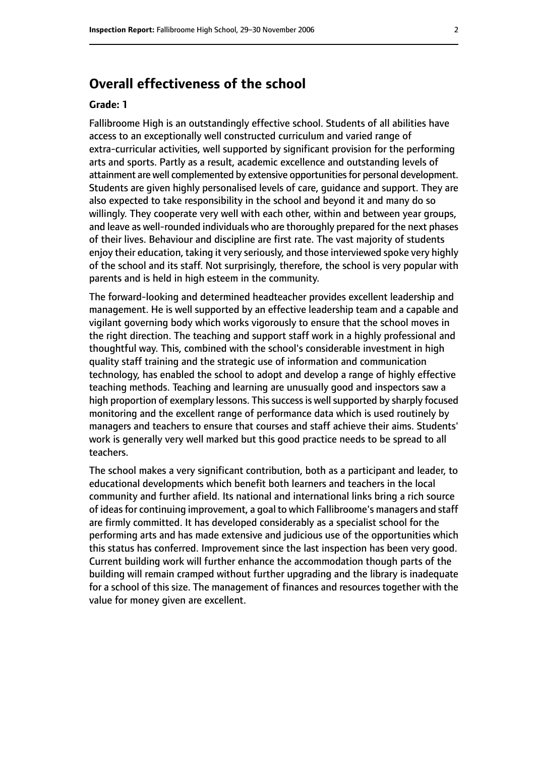# **Overall effectiveness of the school**

#### **Grade: 1**

Fallibroome High is an outstandingly effective school. Students of all abilities have access to an exceptionally well constructed curriculum and varied range of extra-curricular activities, well supported by significant provision for the performing arts and sports. Partly as a result, academic excellence and outstanding levels of attainment are well complemented by extensive opportunities for personal development. Students are given highly personalised levels of care, guidance and support. They are also expected to take responsibility in the school and beyond it and many do so willingly. They cooperate very well with each other, within and between year groups, and leave as well-rounded individuals who are thoroughly prepared for the next phases of their lives. Behaviour and discipline are first rate. The vast majority of students enjoy their education, taking it very seriously, and those interviewed spoke very highly of the school and its staff. Not surprisingly, therefore, the school is very popular with parents and is held in high esteem in the community.

The forward-looking and determined headteacher provides excellent leadership and management. He is well supported by an effective leadership team and a capable and vigilant governing body which works vigorously to ensure that the school moves in the right direction. The teaching and support staff work in a highly professional and thoughtful way. This, combined with the school's considerable investment in high quality staff training and the strategic use of information and communication technology, has enabled the school to adopt and develop a range of highly effective teaching methods. Teaching and learning are unusually good and inspectors saw a high proportion of exemplary lessons. This success is well supported by sharply focused monitoring and the excellent range of performance data which is used routinely by managers and teachers to ensure that courses and staff achieve their aims. Students' work is generally very well marked but this good practice needs to be spread to all teachers.

The school makes a very significant contribution, both as a participant and leader, to educational developments which benefit both learners and teachers in the local community and further afield. Its national and international links bring a rich source of ideas for continuing improvement, a goal to which Fallibroome's managers and staff are firmly committed. It has developed considerably as a specialist school for the performing arts and has made extensive and judicious use of the opportunities which this status has conferred. Improvement since the last inspection has been very good. Current building work will further enhance the accommodation though parts of the building will remain cramped without further upgrading and the library is inadequate for a school of this size. The management of finances and resources together with the value for money given are excellent.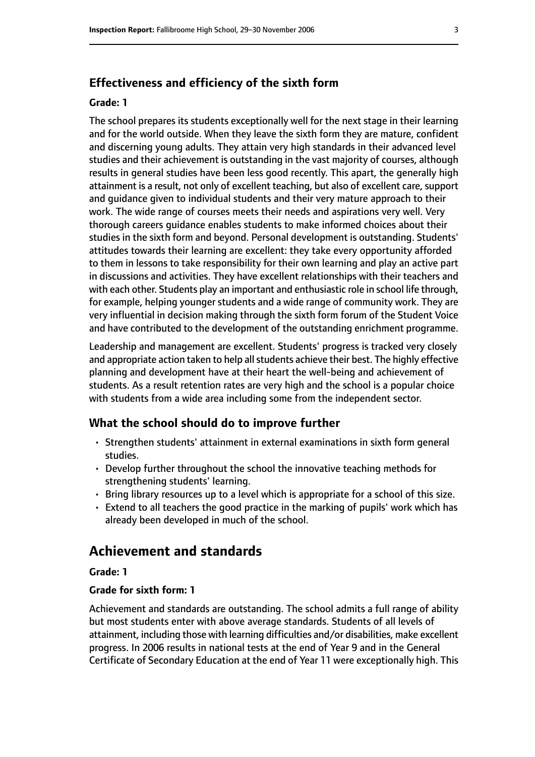#### **Effectiveness and efficiency of the sixth form**

#### **Grade: 1**

The school prepares its students exceptionally well for the next stage in their learning and for the world outside. When they leave the sixth form they are mature, confident and discerning young adults. They attain very high standards in their advanced level studies and their achievement is outstanding in the vast majority of courses, although results in general studies have been less good recently. This apart, the generally high attainment is a result, not only of excellent teaching, but also of excellent care, support and guidance given to individual students and their very mature approach to their work. The wide range of courses meets their needs and aspirations very well. Very thorough careers guidance enables students to make informed choices about their studies in the sixth form and beyond. Personal development is outstanding. Students' attitudes towards their learning are excellent: they take every opportunity afforded to them in lessons to take responsibility for their own learning and play an active part in discussions and activities. They have excellent relationships with their teachers and with each other. Students play an important and enthusiastic role in school life through, for example, helping younger students and a wide range of community work. They are very influential in decision making through the sixth form forum of the Student Voice and have contributed to the development of the outstanding enrichment programme.

Leadership and management are excellent. Students' progress is tracked very closely and appropriate action taken to help all students achieve their best. The highly effective planning and development have at their heart the well-being and achievement of students. As a result retention rates are very high and the school is a popular choice with students from a wide area including some from the independent sector.

#### **What the school should do to improve further**

- Strengthen students' attainment in external examinations in sixth form general studies.
- Develop further throughout the school the innovative teaching methods for strengthening students' learning.
- Bring library resources up to a level which is appropriate for a school of this size.
- Extend to all teachers the good practice in the marking of pupils' work which has already been developed in much of the school.

# **Achievement and standards**

#### **Grade: 1**

#### **Grade for sixth form: 1**

Achievement and standards are outstanding. The school admits a full range of ability but most students enter with above average standards. Students of all levels of attainment, including those with learning difficulties and/or disabilities, make excellent progress. In 2006 results in national tests at the end of Year 9 and in the General Certificate of Secondary Education at the end of Year 11 were exceptionally high. This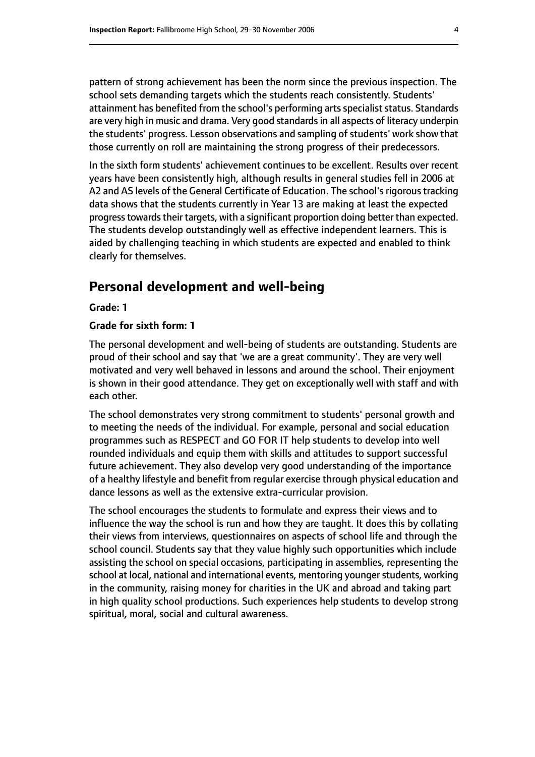pattern of strong achievement has been the norm since the previous inspection. The school sets demanding targets which the students reach consistently. Students' attainment has benefited from the school's performing arts specialist status. Standards are very high in music and drama. Very good standards in all aspects of literacy underpin the students' progress. Lesson observations and sampling of students' work show that those currently on roll are maintaining the strong progress of their predecessors.

In the sixth form students' achievement continues to be excellent. Results over recent years have been consistently high, although results in general studies fell in 2006 at A2 and AS levels of the General Certificate of Education. The school's rigorous tracking data shows that the students currently in Year 13 are making at least the expected progress towards their targets, with a significant proportion doing better than expected. The students develop outstandingly well as effective independent learners. This is aided by challenging teaching in which students are expected and enabled to think clearly for themselves.

# **Personal development and well-being**

**Grade: 1**

#### **Grade for sixth form: 1**

The personal development and well-being of students are outstanding. Students are proud of their school and say that 'we are a great community'. They are very well motivated and very well behaved in lessons and around the school. Their enjoyment is shown in their good attendance. They get on exceptionally well with staff and with each other.

The school demonstrates very strong commitment to students' personal growth and to meeting the needs of the individual. For example, personal and social education programmes such as RESPECT and GO FOR IT help students to develop into well rounded individuals and equip them with skills and attitudes to support successful future achievement. They also develop very good understanding of the importance of a healthy lifestyle and benefit from regular exercise through physical education and dance lessons as well as the extensive extra-curricular provision.

The school encourages the students to formulate and express their views and to influence the way the school is run and how they are taught. It does this by collating their views from interviews, questionnaires on aspects of school life and through the school council. Students say that they value highly such opportunities which include assisting the school on special occasions, participating in assemblies, representing the school at local, national and international events, mentoring younger students, working in the community, raising money for charities in the UK and abroad and taking part in high quality school productions. Such experiences help students to develop strong spiritual, moral, social and cultural awareness.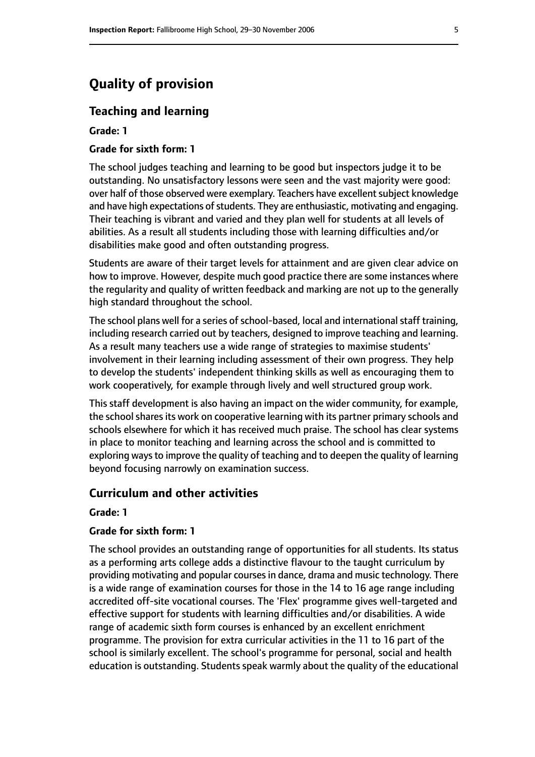# **Quality of provision**

#### **Teaching and learning**

**Grade: 1**

#### **Grade for sixth form: 1**

The school judges teaching and learning to be good but inspectors judge it to be outstanding. No unsatisfactory lessons were seen and the vast majority were good: over half of those observed were exemplary. Teachers have excellent subject knowledge and have high expectations of students. They are enthusiastic, motivating and engaging. Their teaching is vibrant and varied and they plan well for students at all levels of abilities. As a result all students including those with learning difficulties and/or disabilities make good and often outstanding progress.

Students are aware of their target levels for attainment and are given clear advice on how to improve. However, despite much good practice there are some instances where the regularity and quality of written feedback and marking are not up to the generally high standard throughout the school.

The school plans well for a series of school-based, local and international staff training, including research carried out by teachers, designed to improve teaching and learning. As a result many teachers use a wide range of strategies to maximise students' involvement in their learning including assessment of their own progress. They help to develop the students' independent thinking skills as well as encouraging them to work cooperatively, for example through lively and well structured group work.

This staff development is also having an impact on the wider community, for example, the school shares its work on cooperative learning with its partner primary schools and schools elsewhere for which it has received much praise. The school has clear systems in place to monitor teaching and learning across the school and is committed to exploring ways to improve the quality of teaching and to deepen the quality of learning beyond focusing narrowly on examination success.

#### **Curriculum and other activities**

#### **Grade: 1**

#### **Grade for sixth form: 1**

The school provides an outstanding range of opportunities for all students. Its status as a performing arts college adds a distinctive flavour to the taught curriculum by providing motivating and popular courses in dance, drama and music technology. There is a wide range of examination courses for those in the 14 to 16 age range including accredited off-site vocational courses. The 'Flex' programme gives well-targeted and effective support for students with learning difficulties and/or disabilities. A wide range of academic sixth form courses is enhanced by an excellent enrichment programme. The provision for extra curricular activities in the 11 to 16 part of the school is similarly excellent. The school's programme for personal, social and health education is outstanding. Students speak warmly about the quality of the educational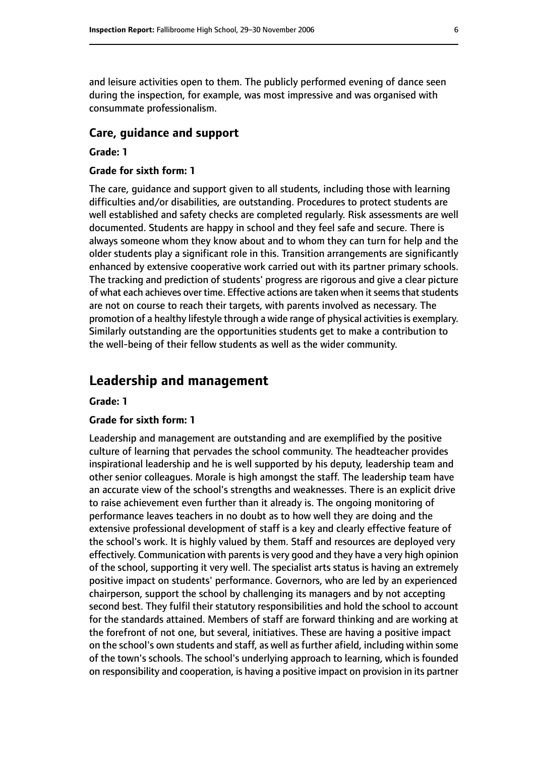and leisure activities open to them. The publicly performed evening of dance seen during the inspection, for example, was most impressive and was organised with consummate professionalism.

#### **Care, guidance and support**

#### **Grade: 1**

#### **Grade for sixth form: 1**

The care, guidance and support given to all students, including those with learning difficulties and/or disabilities, are outstanding. Procedures to protect students are well established and safety checks are completed regularly. Risk assessments are well documented. Students are happy in school and they feel safe and secure. There is always someone whom they know about and to whom they can turn for help and the older students play a significant role in this. Transition arrangements are significantly enhanced by extensive cooperative work carried out with its partner primary schools. The tracking and prediction of students' progress are rigorous and give a clear picture of what each achieves over time. Effective actions are taken when it seems that students are not on course to reach their targets, with parents involved as necessary. The promotion of a healthy lifestyle through a wide range of physical activities is exemplary. Similarly outstanding are the opportunities students get to make a contribution to the well-being of their fellow students as well as the wider community.

# **Leadership and management**

#### **Grade: 1**

#### **Grade for sixth form: 1**

Leadership and management are outstanding and are exemplified by the positive culture of learning that pervades the school community. The headteacher provides inspirational leadership and he is well supported by his deputy, leadership team and other senior colleagues. Morale is high amongst the staff. The leadership team have an accurate view of the school's strengths and weaknesses. There is an explicit drive to raise achievement even further than it already is. The ongoing monitoring of performance leaves teachers in no doubt as to how well they are doing and the extensive professional development of staff is a key and clearly effective feature of the school's work. It is highly valued by them. Staff and resources are deployed very effectively. Communication with parents is very good and they have a very high opinion of the school, supporting it very well. The specialist arts status is having an extremely positive impact on students' performance. Governors, who are led by an experienced chairperson, support the school by challenging its managers and by not accepting second best. They fulfil their statutory responsibilities and hold the school to account for the standards attained. Members of staff are forward thinking and are working at the forefront of not one, but several, initiatives. These are having a positive impact on the school's own students and staff, as well as further afield, including within some of the town's schools. The school's underlying approach to learning, which is founded on responsibility and cooperation, is having a positive impact on provision in its partner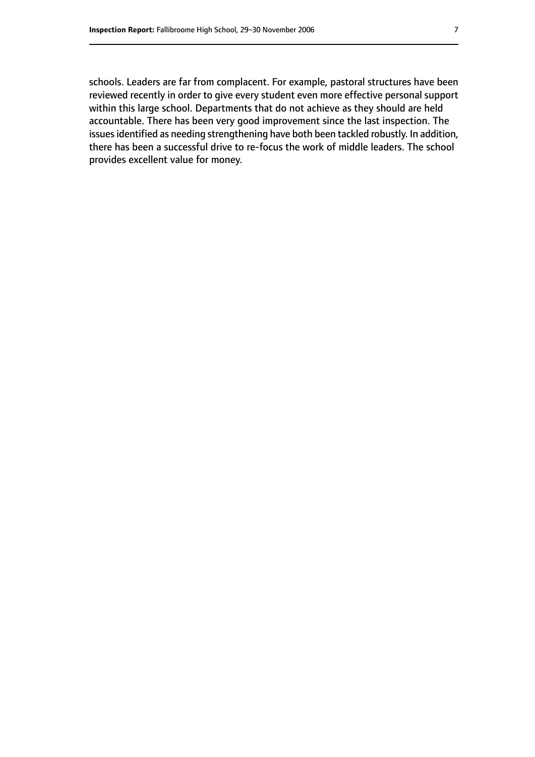schools. Leaders are far from complacent. For example, pastoral structures have been reviewed recently in order to give every student even more effective personal support within this large school. Departments that do not achieve as they should are held accountable. There has been very good improvement since the last inspection. The issues identified as needing strengthening have both been tackled robustly. In addition, there has been a successful drive to re-focus the work of middle leaders. The school provides excellent value for money.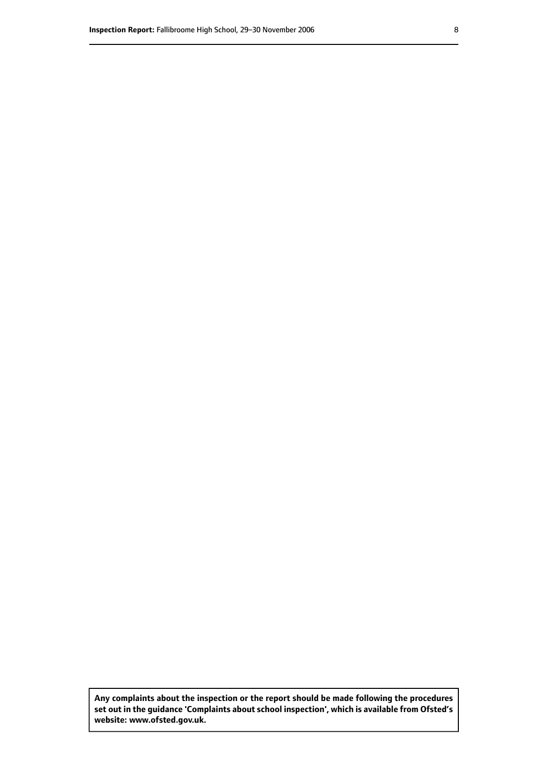**Any complaints about the inspection or the report should be made following the procedures set out inthe guidance 'Complaints about school inspection', whichis available from Ofsted's website: www.ofsted.gov.uk.**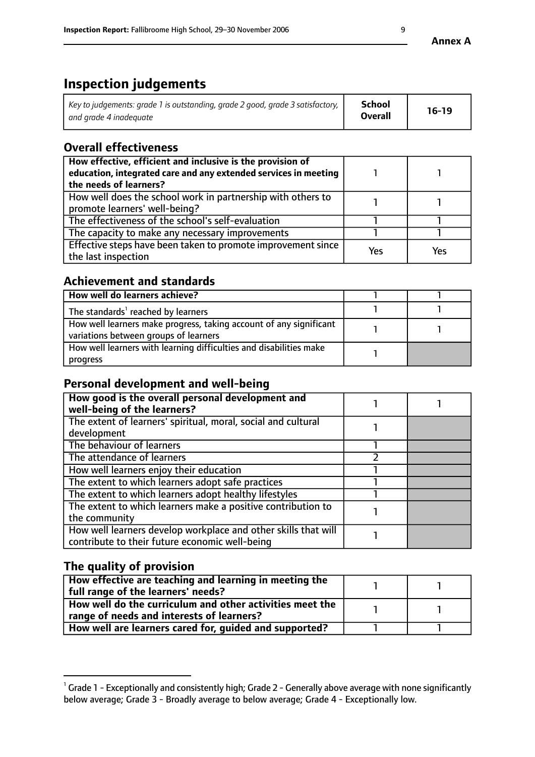# **Inspection judgements**

| Key to judgements: grade 1 is outstanding, grade 2 good, grade 3 satisfactory, | School         | $16-19$ |
|--------------------------------------------------------------------------------|----------------|---------|
| and grade 4 inadeguate                                                         | <b>Overall</b> |         |

# **Overall effectiveness**

| How effective, efficient and inclusive is the provision of<br>education, integrated care and any extended services in meeting<br>the needs of learners? |     |     |
|---------------------------------------------------------------------------------------------------------------------------------------------------------|-----|-----|
| How well does the school work in partnership with others to<br>promote learners' well-being?                                                            |     |     |
| The effectiveness of the school's self-evaluation                                                                                                       |     |     |
| The capacity to make any necessary improvements                                                                                                         |     |     |
| Effective steps have been taken to promote improvement since<br>the last inspection                                                                     | Yes | Yes |

## **Achievement and standards**

| How well do learners achieve?                                                                               |  |
|-------------------------------------------------------------------------------------------------------------|--|
| The standards <sup>1</sup> reached by learners                                                              |  |
| How well learners make progress, taking account of any significant<br>variations between groups of learners |  |
| How well learners with learning difficulties and disabilities make<br>progress                              |  |

# **Personal development and well-being**

| How good is the overall personal development and<br>well-being of the learners?                                  |  |
|------------------------------------------------------------------------------------------------------------------|--|
| The extent of learners' spiritual, moral, social and cultural<br>development                                     |  |
| The behaviour of learners                                                                                        |  |
| The attendance of learners                                                                                       |  |
| How well learners enjoy their education                                                                          |  |
| The extent to which learners adopt safe practices                                                                |  |
| The extent to which learners adopt healthy lifestyles                                                            |  |
| The extent to which learners make a positive contribution to<br>the community                                    |  |
| How well learners develop workplace and other skills that will<br>contribute to their future economic well-being |  |

# **The quality of provision**

| How effective are teaching and learning in meeting the<br>full range of the learners' needs?          |  |
|-------------------------------------------------------------------------------------------------------|--|
| How well do the curriculum and other activities meet the<br>range of needs and interests of learners? |  |
| How well are learners cared for, guided and supported?                                                |  |

 $^1$  Grade 1 - Exceptionally and consistently high; Grade 2 - Generally above average with none significantly below average; Grade 3 - Broadly average to below average; Grade 4 - Exceptionally low.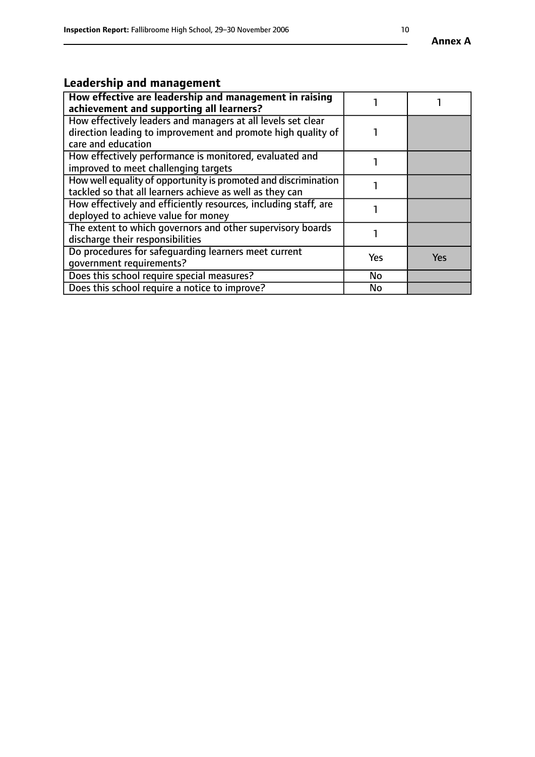# **Leadership and management**

| How effective are leadership and management in raising<br>achievement and supporting all learners?                                                 |     |            |
|----------------------------------------------------------------------------------------------------------------------------------------------------|-----|------------|
| How effectively leaders and managers at all levels set clear<br>direction leading to improvement and promote high quality of<br>care and education |     |            |
| How effectively performance is monitored, evaluated and<br>improved to meet challenging targets                                                    |     |            |
| How well equality of opportunity is promoted and discrimination<br>tackled so that all learners achieve as well as they can                        |     |            |
| How effectively and efficiently resources, including staff, are<br>deployed to achieve value for money                                             |     |            |
| The extent to which governors and other supervisory boards<br>discharge their responsibilities                                                     |     |            |
| Do procedures for safeguarding learners meet current<br>qovernment requirements?                                                                   | Yes | <b>Yes</b> |
| Does this school require special measures?                                                                                                         | No  |            |
| Does this school require a notice to improve?                                                                                                      | No  |            |